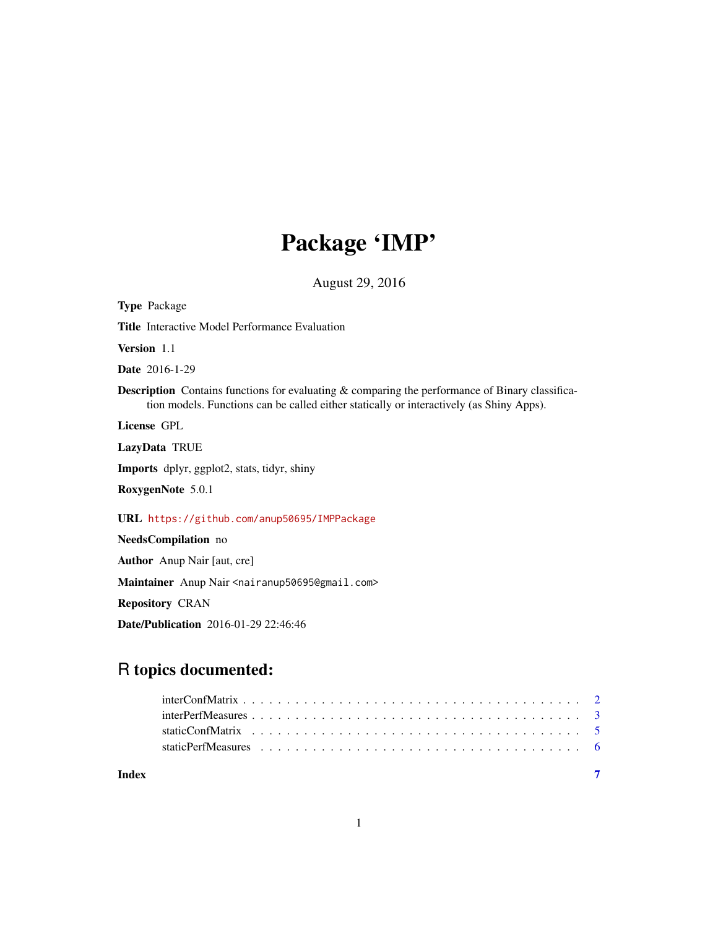## Package 'IMP'

August 29, 2016

Type Package Title Interactive Model Performance Evaluation Version 1.1 Date 2016-1-29 Description Contains functions for evaluating & comparing the performance of Binary classification models. Functions can be called either statically or interactively (as Shiny Apps). License GPL LazyData TRUE Imports dplyr, ggplot2, stats, tidyr, shiny RoxygenNote 5.0.1 URL <https://github.com/anup50695/IMPPackage> NeedsCompilation no Author Anup Nair [aut, cre] Maintainer Anup Nair <nairanup50695@gmail.com> Repository CRAN

Date/Publication 2016-01-29 22:46:46

### R topics documented:

| Index |  |
|-------|--|

1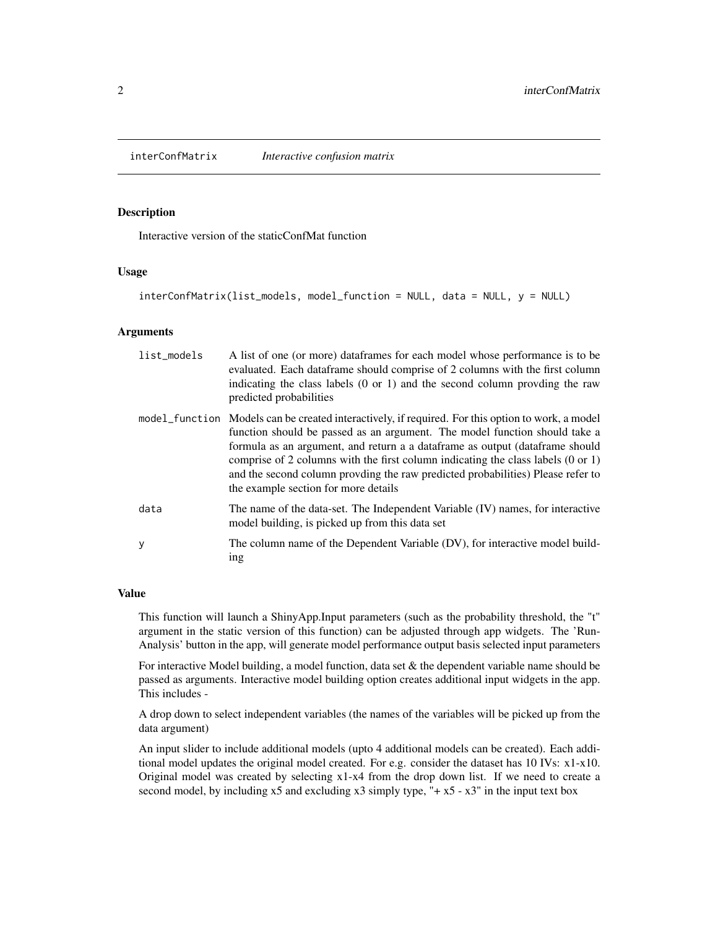<span id="page-1-0"></span>interConfMatrix *Interactive confusion matrix*

#### Description

Interactive version of the staticConfMat function

#### Usage

```
interConfMatrix(list_models, model_function = NULL, data = NULL, y = NULL)
```
#### Arguments

| list_models | A list of one (or more) data frames for each model whose performance is to be<br>evaluated. Each dataframe should comprise of 2 columns with the first column<br>indicating the class labels $(0 \text{ or } 1)$ and the second column provding the raw<br>predicted probabilities                                                                                                                                                                                                        |
|-------------|-------------------------------------------------------------------------------------------------------------------------------------------------------------------------------------------------------------------------------------------------------------------------------------------------------------------------------------------------------------------------------------------------------------------------------------------------------------------------------------------|
|             | model_function Models can be created interactively, if required. For this option to work, a model<br>function should be passed as an argument. The model function should take a<br>formula as an argument, and return a a dataframe as output (dataframe should<br>comprise of 2 columns with the first column indicating the class labels $(0 \text{ or } 1)$<br>and the second column provding the raw predicted probabilities) Please refer to<br>the example section for more details |
| data        | The name of the data-set. The Independent Variable (IV) names, for interactive<br>model building, is picked up from this data set                                                                                                                                                                                                                                                                                                                                                         |
| У           | The column name of the Dependent Variable (DV), for interactive model build-<br>ing                                                                                                                                                                                                                                                                                                                                                                                                       |

#### Value

This function will launch a ShinyApp.Input parameters (such as the probability threshold, the "t" argument in the static version of this function) can be adjusted through app widgets. The 'Run-Analysis' button in the app, will generate model performance output basis selected input parameters

For interactive Model building, a model function, data set & the dependent variable name should be passed as arguments. Interactive model building option creates additional input widgets in the app. This includes -

A drop down to select independent variables (the names of the variables will be picked up from the data argument)

An input slider to include additional models (upto 4 additional models can be created). Each additional model updates the original model created. For e.g. consider the dataset has 10 IVs:  $x1-x10$ . Original model was created by selecting x1-x4 from the drop down list. If we need to create a second model, by including  $x5$  and excluding  $x3$  simply type, "+ $x5 - x3$ " in the input text box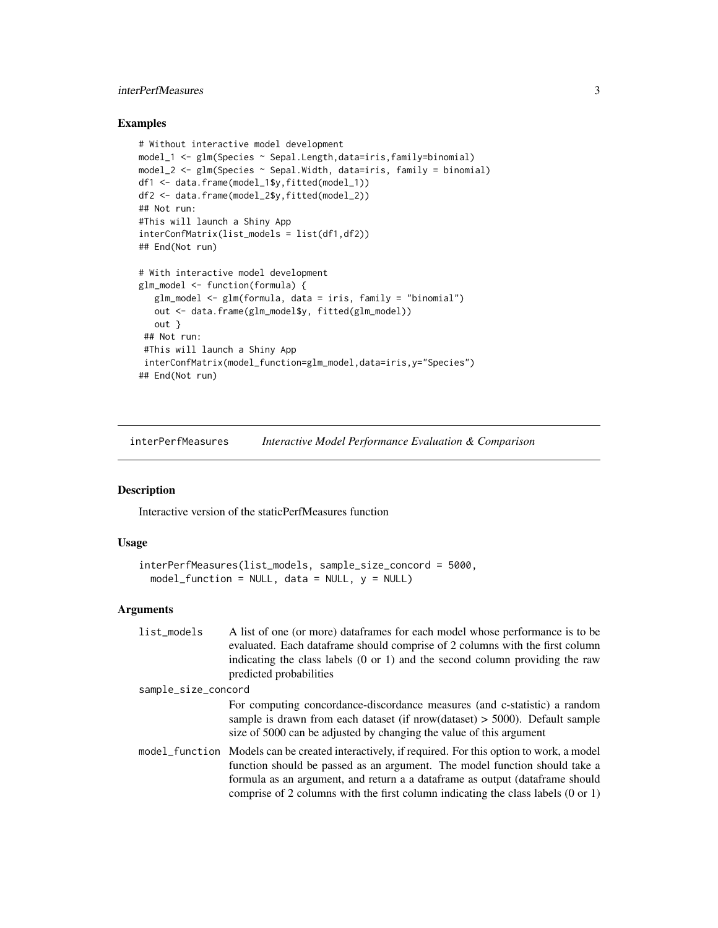#### <span id="page-2-0"></span>interPerfMeasures 3

#### Examples

```
# Without interactive model development
model_1 <- glm(Species ~ Sepal.Length,data=iris,family=binomial)
model_2 <- glm(Species ~ & Sepal.Width, data=iris, family = binomial)df1 <- data.frame(model_1$y,fitted(model_1))
df2 <- data.frame(model_2$y,fitted(model_2))
## Not run:
#This will launch a Shiny App
interConfMatrix(list_models = list(df1,df2))
## End(Not run)
# With interactive model development
glm_model <- function(formula) {
  glm_model <- glm(formula, data = iris, family = "binomial")
  out <- data.frame(glm_model$y, fitted(glm_model))
  out }
 ## Not run:
 #This will launch a Shiny App
 interConfMatrix(model_function=glm_model,data=iris,y="Species")
## End(Not run)
```
interPerfMeasures *Interactive Model Performance Evaluation & Comparison*

#### Description

Interactive version of the staticPerfMeasures function

#### Usage

```
interPerfMeasures(list_models, sample_size_concord = 5000,
 model_function = NULL, data = NULL, y = NULL)
```
#### Arguments

| list_models         | A list of one (or more) dataframes for each model whose performance is to be<br>evaluated. Each dataframe should comprise of 2 columns with the first column                                                                                                                                                                                                   |
|---------------------|----------------------------------------------------------------------------------------------------------------------------------------------------------------------------------------------------------------------------------------------------------------------------------------------------------------------------------------------------------------|
|                     | indicating the class labels $(0 \text{ or } 1)$ and the second column providing the raw<br>predicted probabilities                                                                                                                                                                                                                                             |
| sample_size_concord |                                                                                                                                                                                                                                                                                                                                                                |
|                     | For computing concordance-discordance measures (and c-statistic) a random<br>sample is drawn from each dataset (if $nrow(dataset) > 5000$ ). Default sample<br>size of 5000 can be adjusted by changing the value of this argument                                                                                                                             |
|                     | model_function Models can be created interactively, if required. For this option to work, a model<br>function should be passed as an argument. The model function should take a<br>formula as an argument, and return a a dataframe as output (dataframe should<br>comprise of 2 columns with the first column indicating the class labels $(0 \text{ or } 1)$ |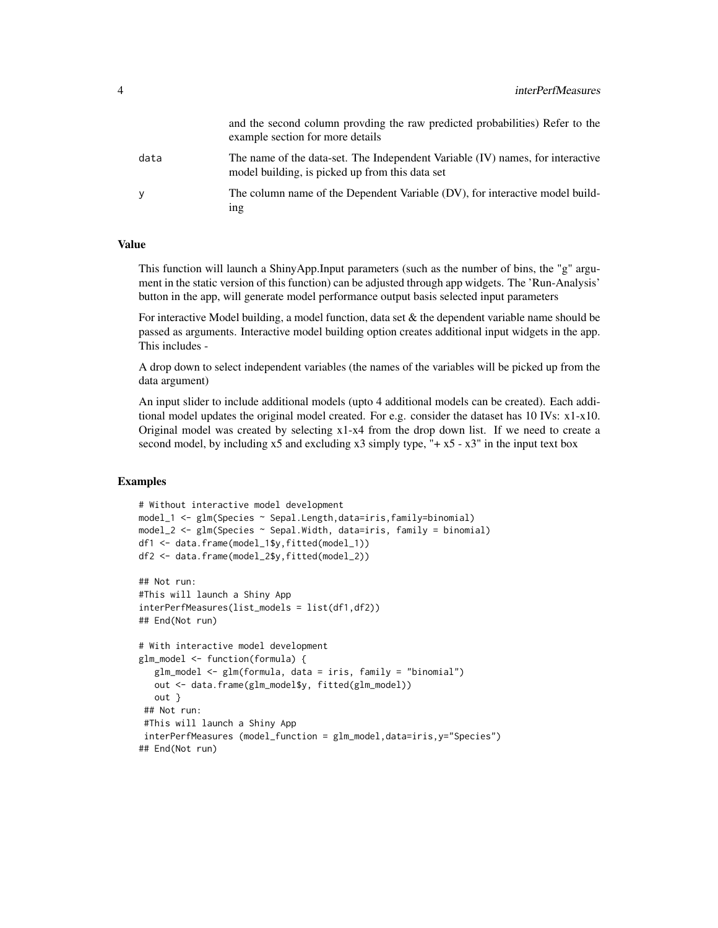|      | and the second column provding the raw predicted probabilities) Refer to the<br>example section for more details                  |
|------|-----------------------------------------------------------------------------------------------------------------------------------|
| data | The name of the data-set. The Independent Variable (IV) names, for interactive<br>model building, is picked up from this data set |
| у    | The column name of the Dependent Variable (DV), for interactive model build-<br><sub>1</sub> ng                                   |

#### Value

This function will launch a ShinyApp.Input parameters (such as the number of bins, the "g" argument in the static version of this function) can be adjusted through app widgets. The 'Run-Analysis' button in the app, will generate model performance output basis selected input parameters

For interactive Model building, a model function, data set  $\&$  the dependent variable name should be passed as arguments. Interactive model building option creates additional input widgets in the app. This includes -

A drop down to select independent variables (the names of the variables will be picked up from the data argument)

An input slider to include additional models (upto 4 additional models can be created). Each additional model updates the original model created. For e.g. consider the dataset has 10 IVs: x1-x10. Original model was created by selecting x1-x4 from the drop down list. If we need to create a second model, by including  $x5$  and excluding  $x3$  simply type, "+  $x5 - x3$ " in the input text box

#### Examples

```
# Without interactive model development
model_1 <- glm(Species ~ Sepal.Length,data=iris,family=binomial)
model_2 <- glm(Species ~ Sepal.Width, data=iris, family = binomial)
df1 <- data.frame(model_1$y,fitted(model_1))
df2 <- data.frame(model_2$y,fitted(model_2))
## Not run:
#This will launch a Shiny App
interPerfMeasures(list_models = list(df1,df2))
## End(Not run)
# With interactive model development
glm_model <- function(formula) {
   glm_model <- glm(formula, data = iris, family = "binomial")
   out <- data.frame(glm_model$y, fitted(glm_model))
  out }
 ## Not run:
 #This will launch a Shiny App
 interPerfMeasures (model_function = glm_model,data=iris,y="Species")
## End(Not run)
```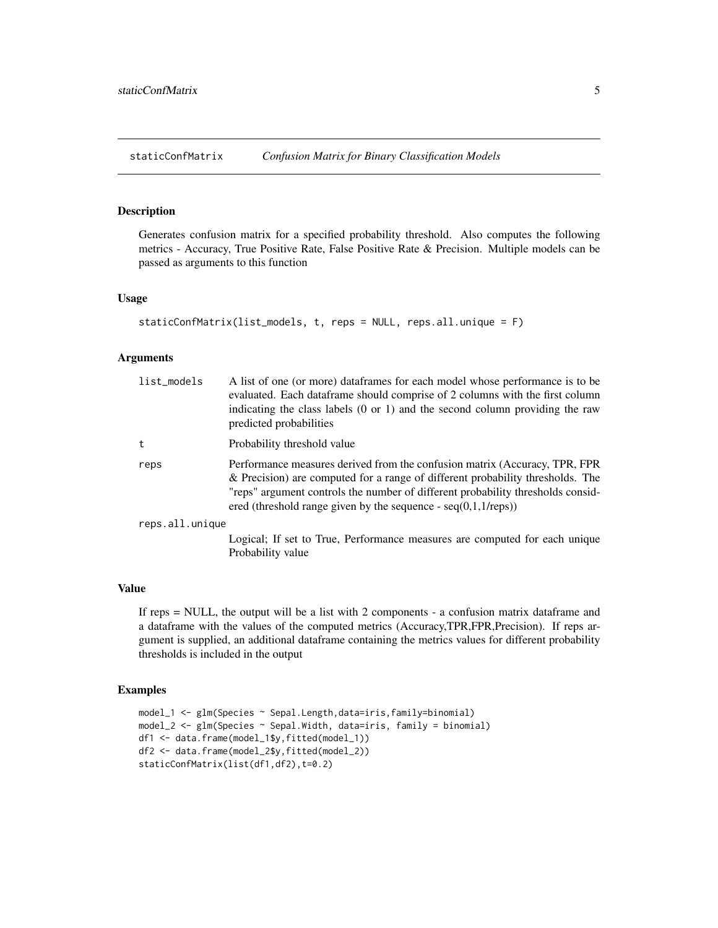<span id="page-4-0"></span>staticConfMatrix *Confusion Matrix for Binary Classification Models*

#### Description

Generates confusion matrix for a specified probability threshold. Also computes the following metrics - Accuracy, True Positive Rate, False Positive Rate & Precision. Multiple models can be passed as arguments to this function

#### Usage

```
staticConfMatrix(list_models, t, reps = NULL, reps.all.unique = F)
```
#### Arguments

| list_models     | A list of one (or more) data frames for each model whose performance is to be<br>evaluated. Each data frame should comprise of 2 columns with the first column<br>indicating the class labels $(0 \text{ or } 1)$ and the second column providing the raw<br>predicted probabilities                                 |
|-----------------|----------------------------------------------------------------------------------------------------------------------------------------------------------------------------------------------------------------------------------------------------------------------------------------------------------------------|
| t               | Probability threshold value                                                                                                                                                                                                                                                                                          |
| reps            | Performance measures derived from the confusion matrix (Accuracy, TPR, FPR<br>& Precision) are computed for a range of different probability thresholds. The<br>"reps" argument controls the number of different probability thresholds consid-<br>ered (threshold range given by the sequence - $seq(0,1,1$ /reps)) |
| reps.all.unique |                                                                                                                                                                                                                                                                                                                      |
|                 | Logical; If set to True, Performance measures are computed for each unique<br>Probability value                                                                                                                                                                                                                      |

#### Value

If reps = NULL, the output will be a list with 2 components - a confusion matrix dataframe and a dataframe with the values of the computed metrics (Accuracy,TPR,FPR,Precision). If reps argument is supplied, an additional dataframe containing the metrics values for different probability thresholds is included in the output

#### Examples

```
model_1 <- glm(Species ~ Sepal.Length,data=iris,family=binomial)
model_2 <- glm(Species ~ Sepal.Width, data=iris, family = binomial)
df1 <- data.frame(model_1$y,fitted(model_1))
df2 <- data.frame(model_2$y,fitted(model_2))
staticConfMatrix(list(df1,df2),t=0.2)
```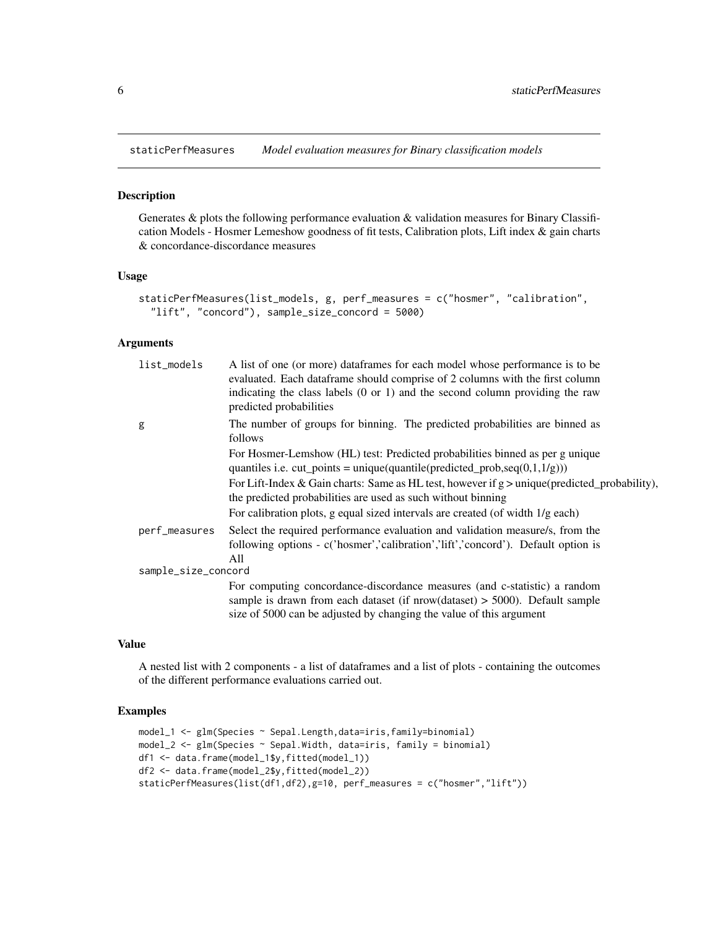<span id="page-5-0"></span>staticPerfMeasures *Model evaluation measures for Binary classification models*

#### Description

Generates & plots the following performance evaluation & validation measures for Binary Classification Models - Hosmer Lemeshow goodness of fit tests, Calibration plots, Lift index & gain charts & concordance-discordance measures

#### Usage

```
staticPerfMeasures(list_models, g, perf_measures = c("hosmer", "calibration",
  "lift", "concord"), sample_size_concord = 5000)
```
#### Arguments

| list_models         | A list of one (or more) data frames for each model whose performance is to be<br>evaluated. Each dataframe should comprise of 2 columns with the first column<br>indicating the class labels $(0 \text{ or } 1)$ and the second column providing the raw<br>predicted probabilities |
|---------------------|-------------------------------------------------------------------------------------------------------------------------------------------------------------------------------------------------------------------------------------------------------------------------------------|
| g                   | The number of groups for binning. The predicted probabilities are binned as<br>follows                                                                                                                                                                                              |
|                     | For Hosmer-Lemshow (HL) test: Predicted probabilities binned as per g unique                                                                                                                                                                                                        |
|                     | quantiles i.e. $cut\_points = unique(quantile (predicted\_prob, seq(0, 1, 1/g)))$                                                                                                                                                                                                   |
|                     | For Lift-Index & Gain charts: Same as HL test, however if $g >$ unique(predicted_probability),<br>the predicted probabilities are used as such without binning                                                                                                                      |
|                     | For calibration plots, g equal sized intervals are created (of width $1/g$ each)                                                                                                                                                                                                    |
| perf_measures       | Select the required performance evaluation and validation measure/s, from the<br>following options - c('hosmer','calibration','lift','concord'). Default option is<br>A11                                                                                                           |
| sample_size_concord |                                                                                                                                                                                                                                                                                     |
|                     | For computing concordance-discordance measures (and c-statistic) a random<br>sample is drawn from each dataset (if $nrow(dataset) > 5000$ ). Default sample<br>size of 5000 can be adjusted by changing the value of this argument                                                  |

#### Value

A nested list with 2 components - a list of dataframes and a list of plots - containing the outcomes of the different performance evaluations carried out.

#### Examples

```
model_1 <- glm(Species ~ Sepal.Length,data=iris,family=binomial)
model_2 <- glm(Species ~ Sepal.Width, data=iris, family = binomial)
df1 <- data.frame(model_1$y,fitted(model_1))
df2 <- data.frame(model_2$y,fitted(model_2))
staticPerfMeasures(list(df1,df2),g=10, perf_measures = c("hosmer","lift"))
```